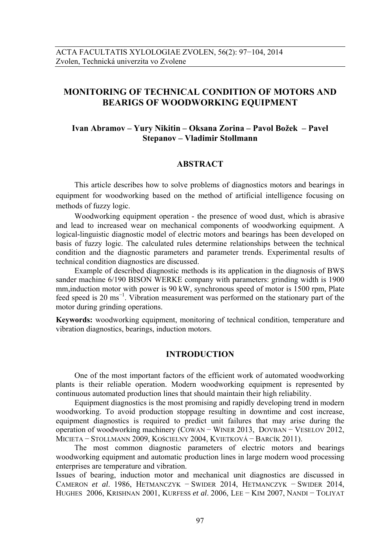# **MONITORING OF TECHNICAL CONDITION OF MOTORS AND BEARIGS OF WOODWORKING EQUIPMENT**

## **Ivan Abramov – Yury Nikitin – Oksana Zorina – Pavol Božek – Pavel Stepanov – Vladimir Stollmann**

## **ABSTRACT**

This article describes how to solve problems of diagnostics motors and bearings in equipment for woodworking based on the method of artificial intelligence focusing on methods of fuzzy logic.

Woodworking equipment operation - the presence of wood dust, which is abrasive and lead to increased wear on mechanical components of woodworking equipment. A logical-linguistic diagnostic model of electric motors and bearings has been developed on basis of fuzzy logic. The calculated rules determine relationships between the technical condition and the diagnostic parameters and parameter trends. Experimental results of technical condition diagnostics are discussed.

Example of described diagnostic methods is its application in the diagnosis of BWS sander machine 6/190 BISON WERKE company with parameters: grinding width is 1900 mm,induction motor with power is 90 kW, synchronous speed of motor is 1500 rpm, Plate feed speed is 20 ms<sup>-1</sup>. Vibration measurement was performed on the stationary part of the motor during grinding operations.

**Keywords:** woodworking equipment, monitoring of technical condition, temperature and vibration diagnostics, bearings, induction motors.

#### **INTRODUCTION**

One of the most important factors of the efficient work of automated woodworking plants is their reliable operation. Modern woodworking equipment is represented by continuous automated production lines that should maintain their high reliability.

Equipment diagnostics is the most promising and rapidly developing trend in modern woodworking. To avoid production stoppage resulting in downtime and cost increase, equipment diagnostics is required to predict unit failures that may arise during the operation of woodworking machinery (COWAN − WINER 2013, DOVBAN − VESELOV 2012, MICIETA − STOLLMANN 2009, KOŚCIELNY 2004, KVIETKOVÁ − BARCÍK 2011).

The most common diagnostic parameters of electric motors and bearings woodworking equipment and automatic production lines in large modern wood processing enterprises are temperature and vibration.

Issues of bearing, induction motor and mechanical unit diagnostics are discussed in CAMERON *et al*. 1986, HETMANCZYK − SWIDER 2014, HETMANCZYK − SWIDER 2014, HUGHES 2006, KRISHNAN 2001, KURFESS *et al*. 2006, LEE − KIM 2007, NANDI − TOLIYAT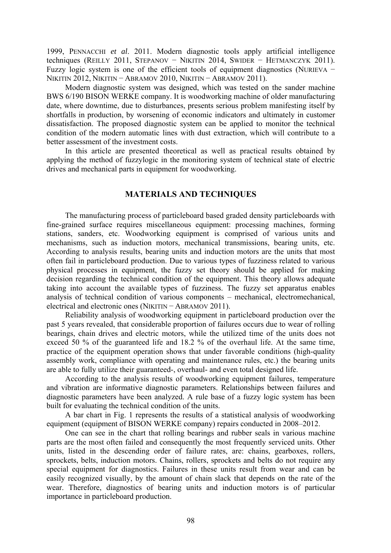1999, PENNACCHI *et al*. 2011. Modern diagnostic tools apply artificial intelligence techniques (REILLY 2011, STEPANOV − NIKITIN 2014, SWIDER − HETMANCZYK 2011). Fuzzy logic system is one of the efficient tools of equipment diagnostics (NURIEVA − NIKITIN 2012, NIKITIN – ABRAMOV 2010, NIKITIN – ABRAMOV 2011).

Modern diagnostic system was designed, which was tested on the sander machine BWS 6/190 BISON WERKE company. It is woodworking machine of older manufacturing date, where downtime, due to disturbances, presents serious problem manifesting itself by shortfalls in production, by worsening of economic indicators and ultimately in customer dissatisfaction. The proposed diagnostic system can be applied to monitor the technical condition of the modern automatic lines with dust extraction, which will contribute to a better assessment of the investment costs.

In this article are presented theoretical as well as practical results obtained by applying the method of fuzzylogic in the monitoring system of technical state of electric drives and mechanical parts in equipment for woodworking.

### **MATERIALS AND TECHNIQUES**

The manufacturing process of particleboard based graded density particleboards with fine-grained surface requires miscellaneous equipment: processing machines, forming stations, sanders, etc. Woodworking equipment is comprised of various units and mechanisms, such as induction motors, mechanical transmissions, bearing units, etc. According to analysis results, bearing units and induction motors are the units that most often fail in particleboard production. Due to various types of fuzziness related to various physical processes in equipment, the fuzzy set theory should be applied for making decision regarding the technical condition of the equipment. This theory allows adequate taking into account the available types of fuzziness. The fuzzy set apparatus enables analysis of technical condition of various components – mechanical, electromechanical, electrical and electronic ones (NIKITIN − ABRAMOV 2011).

Reliability analysis of woodworking equipment in particleboard production over the past 5 years revealed, that considerable proportion of failures occurs due to wear of rolling bearings, chain drives and electric motors, while the utilized time of the units does not exceed 50 % of the guaranteed life and 18.2 % of the overhaul life. At the same time, practice of the equipment operation shows that under favorable conditions (high-quality assembly work, compliance with operating and maintenance rules, etc.) the bearing units are able to fully utilize their guaranteed-, overhaul- and even total designed life.

According to the analysis results of woodworking equipment failures, temperature and vibration are informative diagnostic parameters. Relationships between failures and diagnostic parameters have been analyzed. A rule base of a fuzzy logic system has been built for evaluating the technical condition of the units.

A bar chart in Fig. 1 represents the results of a statistical analysis of woodworking equipment (equipment of BISON WERKE company) repairs conducted in 2008–2012.

One can see in the chart that rolling bearings and rubber seals in various machine parts are the most often failed and consequently the most frequently serviced units. Other units, listed in the descending order of failure rates, are: chains, gearboxes, rollers, sprockets, belts, induction motors. Chains, rollers, sprockets and belts do not require any special equipment for diagnostics. Failures in these units result from wear and can be easily recognized visually, by the amount of chain slack that depends on the rate of the wear. Therefore, diagnostics of bearing units and induction motors is of particular importance in particleboard production.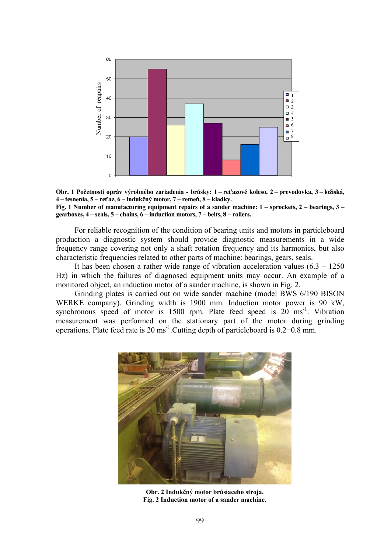



For reliable recognition of the condition of bearing units and motors in particleboard production a diagnostic system should provide diagnostic measurements in a wide frequency range covering not only a shaft rotation frequency and its harmonics, but also characteristic frequencies related to other parts of machine: bearings, gears, seals.

It has been chosen a rather wide range of vibration acceleration values  $(6.3 - 1250)$ Hz) in which the failures of diagnosed equipment units may occur. An example of a monitored object, an induction motor of a sander machine, is shown in Fig. 2.

Grinding plates is carried out on wide sander machine (model BWS 6/190 BISON WERKE company). Grinding width is 1900 mm. Induction motor power is 90 kW, synchronous speed of motor is  $1500$  rpm. Plate feed speed is  $20 \text{ ms}^{-1}$ . Vibration measurement was performed on the stationary part of the motor during grinding operations. Plate feed rate is 20 ms-1.Cutting depth of particleboard is 0.2−0.8 mm.



**Obr. 2 Indukčný motor brúsiaceho stroja. Fig. 2 Induction motor of a sander machine.**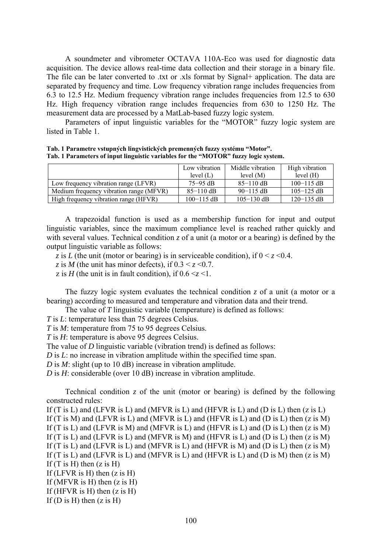A soundmeter and vibrometer OCTAVA 110A-Eco was used for diagnostic data acquisition. The device allows real-time data collection and their storage in a binary file. The file can be later converted to .txt or .xls format by Signal+ application. The data are separated by frequency and time. Low frequency vibration range includes frequencies from 6.3 to 12.5 Hz. Medium frequency vibration range includes frequencies from 12.5 to 630 Hz. High frequency vibration range includes frequencies from 630 to 1250 Hz. The measurement data are processed by a MatLab-based fuzzy logic system.

Parameters of input linguistic variables for the "MOTOR" fuzzy logic system are listed in Table 1.

|                                         | Low vibration<br>level $(L)$ | Middle vibration<br>level $(M)$ | High vibration<br>level $(H)$ |
|-----------------------------------------|------------------------------|---------------------------------|-------------------------------|
| Low frequency vibration range (LFVR)    | $75 - 95$ dB                 | $85-110$ dB                     | $100 - 115$ dB                |
| Medium frequency vibration range (MFVR) | $85-110$ dB                  | $90-115$ dB                     | $105 - 125$ dB                |
| High frequency vibration range (HFVR)   | $100 - 115$ dB               | $105 - 130$ dB                  | $120 - 135$ dB                |

**Tab. 1 Parametre vstupných lingvistických premenných fuzzy systému "Motor". Tab. 1 Parameters of input linguistic variables for the "MOTOR" fuzzy logic system.** 

A trapezoidal function is used as a membership function for input and output linguistic variables, since the maximum compliance level is reached rather quickly and with several values. Technical condition *z* of a unit (a motor or a bearing) is defined by the output linguistic variable as follows:

*z* is *L* (the unit (motor or bearing) is in serviceable condition), if  $0 \le z \le 0.4$ .

*z* is *M* (the unit has minor defects), if  $0.3 < z < 0.7$ .

z is *H* (the unit is in fault condition), if  $0.6 \le z \le 1$ .

The fuzzy logic system evaluates the technical condition  $\zeta$  of a unit (a motor or a bearing) according to measured and temperature and vibration data and their trend.

The value of *T* linguistic variable (temperature) is defined as follows:

*T* is *L*: temperature less than 75 degrees Celsius.

*T* is *M*: temperature from 75 to 95 degrees Celsius.

*T* is *H*: temperature is above 95 degrees Celsius.

The value of *D* linguistic variable (vibration trend) is defined as follows:

*D* is *L*: no increase in vibration amplitude within the specified time span.

*D* is *M*: slight (up to 10 dB) increase in vibration amplitude.

*D* is *H*: considerable (over 10 dB) increase in vibration amplitude.

Technical condition  $\zeta$  of the unit (motor or bearing) is defined by the following constructed rules:

If (T is L) and (LFVR is L) and (MFVR is L) and (HFVR is L) and (D is L) then  $(z \text{ is } L)$ If (T is M) and (LFVR is L) and (MFVR is L) and (HFVR is L) and (D is L) then  $(z \text{ is } M)$ If (T is L) and (LFVR is M) and (MFVR is L) and (HFVR is L) and (D is L) then  $(z \text{ is } M)$ If (T is L) and (LFVR is L) and (MFVR is M) and (HFVR is L) and (D is L) then  $(z \text{ is } M)$ If (T is L) and (LFVR is L) and (MFVR is L) and (HFVR is M) and (D is L) then  $(z \text{ is } M)$ If (T is L) and (LFVR is L) and (MFVR is L) and (HFVR is L) and (D is M) then  $(z \text{ is } M)$ If  $(T \text{ is } H)$  then  $(z \text{ is } H)$ If (LFVR is H) then  $(z \text{ is } H)$ If (MFVR is H) then  $(z \text{ is } H)$ If (HFVR is H) then  $(z \text{ is } H)$ If (D is H) then  $(z \text{ is } H)$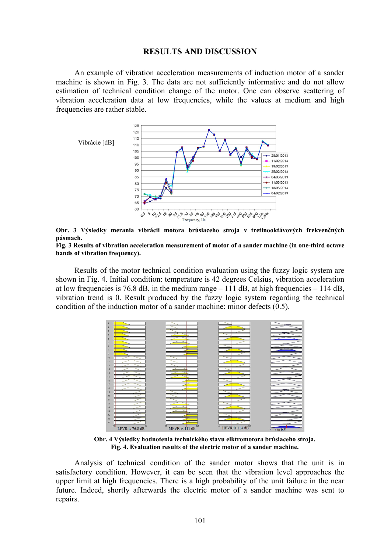#### **RESULTS AND DISCUSSION**

An example of vibration acceleration measurements of induction motor of a sander machine is shown in Fig. 3. The data are not sufficiently informative and do not allow estimation of technical condition change of the motor. One can observe scattering of vibration acceleration data at low frequencies, while the values at medium and high frequencies are rather stable.







Results of the motor technical condition evaluation using the fuzzy logic system are shown in Fig. 4. Initial condition: temperature is 42 degrees Celsius, vibration acceleration at low frequencies is 76.8 dB, in the medium range  $-111$  dB, at high frequencies  $-114$  dB, vibration trend is 0. Result produced by the fuzzy logic system regarding the technical condition of the induction motor of a sander machine: minor defects (0.5).



**Obr. 4 Výsledky hodnotenia technického stavu elktromotora brúsiaceho stroja. Fig. 4. Evaluation results of the electric motor of a sander machine.** 

Analysis of technical condition of the sander motor shows that the unit is in satisfactory condition. However, it can be seen that the vibration level approaches the upper limit at high frequencies. There is a high probability of the unit failure in the near future. Indeed, shortly afterwards the electric motor of a sander machine was sent to repairs.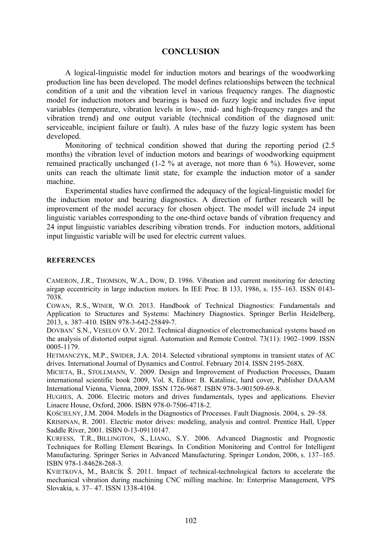#### **CONCLUSION**

A logical-linguistic model for induction motors and bearings of the woodworking production line has been developed. The model defines relationships between the technical condition of a unit and the vibration level in various frequency ranges. The diagnostic model for induction motors and bearings is based on fuzzy logic and includes five input variables (temperature, vibration levels in low-, mid- and high-frequency ranges and the vibration trend) and one output variable (technical condition of the diagnosed unit: serviceable, incipient failure or fault). A rules base of the fuzzy logic system has been developed.

Monitoring of technical condition showed that during the reporting period (2.5 months) the vibration level of induction motors and bearings of woodworking equipment remained practically unchanged (1-2 % at average, not more than 6 %). However, some units can reach the ultimate limit state, for example the induction motor of a sander machine.

Experimental studies have confirmed the adequacy of the logical-linguistic model for the induction motor and bearing diagnostics. A direction of further research will be improvement of the model accuracy for chosen object. The model will include 24 input linguistic variables corresponding to the one-third octave bands of vibration frequency and 24 input linguistic variables describing vibration trends. For induction motors, additional input linguistic variable will be used for electric current values.

#### **REFERENCES**

CAMERON, J.R., THOMSON, W.A., DOW, D. 1986. Vibration and current monitoring for detecting airgap eccentricity in large induction motors. In IEE Proc. B 133, 1986, s. 155–163. ISSN 0143- 7038.

COWAN, R.S., WINER, W.O. 2013. Handbook of Technical Diagnostics: Fundamentals and Application to Structures and Systems: Machinery Diagnostics. Springer Berlin Heidelberg, 2013, s. 387–410. ISBN 978-3-642-25849-7.

DOVBAN' S.N., VESELOV O.V. 2012. Technical diagnostics of electromechanical systems based on the analysis of distorted output signal. Automation and Remote Control. 73(11): 1902–1909. ISSN 0005-1179.

HETMANCZYK, M.P., SWIDER, J.A. 2014. Selected vibrational symptoms in transient states of AC drives. International Journal of Dynamics and Control. February 2014. ISSN 2195-268X.

MICIETA, B., STOLLMANN, V. 2009. Design and Improvement of Production Processes, Daaam international scientific book 2009, Vol. 8, Editor: B. Katalinic, hard cover, Publisher DAAAM International Vienna, Vienna, 2009. ISSN 1726-9687. ISBN 978-3-901509-69-8.

HUGHES, A. 2006. Electric motors and drives fundamentals, types and applications. Elsevier Linacre House, Oxford, 2006. ISBN 978-0-7506-4718-2.

KOŚCIELNY, J.M. 2004. Models in the Diagnostics of Processes. Fault Diagnosis. 2004, s. 29–58.

KRISHNAN, R. 2001. Electric motor drives: modeling, analysis and control. Prentice Hall, Upper Saddle River, 2001. ISBN 0-13-09110147.

KURFESS, T.R., BILLINGTON, S., LIANG, S.Y. 2006. Advanced Diagnostic and Prognostic Techniques for Rolling Element Bearings. In Condition Monitoring and Control for Intelligent Manufacturing. Springer Series in Advanced Manufacturing. Springer London, 2006, s. 137–165. ISBN 978-1-84628-268-3.

KVIETKOVÁ, M., BARCÍK Š. 2011. Impact of technical-technological factors to accelerate the mechanical vibration during machining CNC milling machine. In: Enterprise Management, VPS Slovakia, s. 37– 47. ISSN 1338-4104.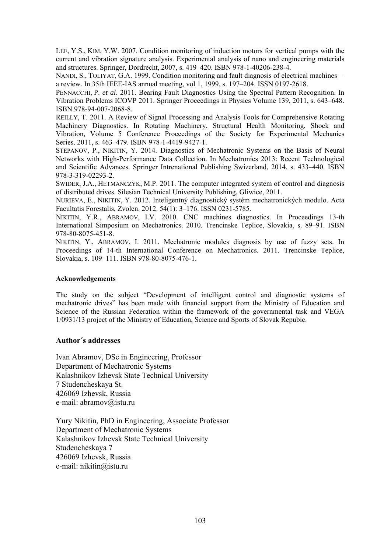LEE, Y.S., KIM, Y.W. 2007. Condition monitoring of induction motors for vertical pumps with the current and vibration signature analysis. Experimental analysis of nano and engineering materials and structures. Springer, Dordrecht, 2007, s. 419–420. ISBN 978-1-40206-238-4.

NANDI, S., TOLIYAT, G.A. 1999. Condition monitoring and fault diagnosis of electrical machines a review. In 35th IEEE-IAS annual meeting, vol 1, 1999, s. 197–204. ISSN 0197-2618.

PENNACCHI, P. *et al*. 2011. Bearing Fault Diagnostics Using the Spectral Pattern Recognition. In Vibration Problems ICOVP 2011. Springer Proceedings in Physics Volume 139, 2011, s. 643–648. ISBN 978-94-007-2068-8.

REILLY, T. 2011. A Review of Signal Processing and Analysis Tools for Comprehensive Rotating Machinery Diagnostics. In Rotating Machinery, Structural Health Monitoring, Shock and Vibration, Volume 5 Conference Proceedings of the Society for Experimental Mechanics Series. 2011, s. 463–479. ISBN 978-1-4419-9427-1.

STEPANOV, P., NIKITIN, Y. 2014. Diagnostics of Mechatronic Systems on the Basis of Neural Networks with High-Performance Data Collection. In Mechatronics 2013: Recent Technological and Scientific Advances. Springer Intrenational Publishing Swizerland, 2014, s. 433–440. ISBN 978-3-319-02293-2.

SWIDER, J.A., HETMANCZYK, M.P. 2011. The computer integrated system of control and diagnosis of distributed drives. Silesian Technical University Publishing, Gliwice, 2011.

NURIEVA, E., NIKITIN, Y. 2012. Inteligentný diagnostický systém mechatronických modulo. Acta Facultatis Forestalis, Zvolen. 2012. 54(1): 3–176. ISSN 0231-5785.

NIKITIN, Y.R., ABRAMOV, I.V. 2010. CNC machines diagnostics. In Proceedings 13-th International Simposium on Mechatronics. 2010. Trencinske Teplice, Slovakia, s. 89–91. ISBN 978-80-8075-451-8.

NIKITIN, Y., ABRAMOV, I. 2011. Mechatronic modules diagnosis by use of fuzzy sets. In Proceedings of 14-th International Conference on Mechatronics. 2011. Trencinske Teplice, Slovakia, s. 109–111. ISBN 978-80-8075-476-1.

#### **Acknowledgements**

The study on the subject "Development of intelligent control and diagnostic systems of mechatronic drives" has been made with financial support from the Ministry of Education and Science of the Russian Federation within the framework of the governmental task and VEGA 1/0931/13 project of the Ministry of Education, Science and Sports of Slovak Repubic.

### **Author´s addresses**

Ivan Abramov, DSc in Engineering, Professor Department of Mechatronic Systems Kalashnikov Izhevsk State Technical University 7 Studencheskaya St. 426069 Izhevsk, Russia e-mail: abramov@istu.ru

Yury Nikitin, PhD in Engineering, Associate Professor Department of Mechatronic Systems Kalashnikov Izhevsk State Technical University Studencheskaya 7 426069 Izhevsk, Russia e-mail: nikitin@istu.ru